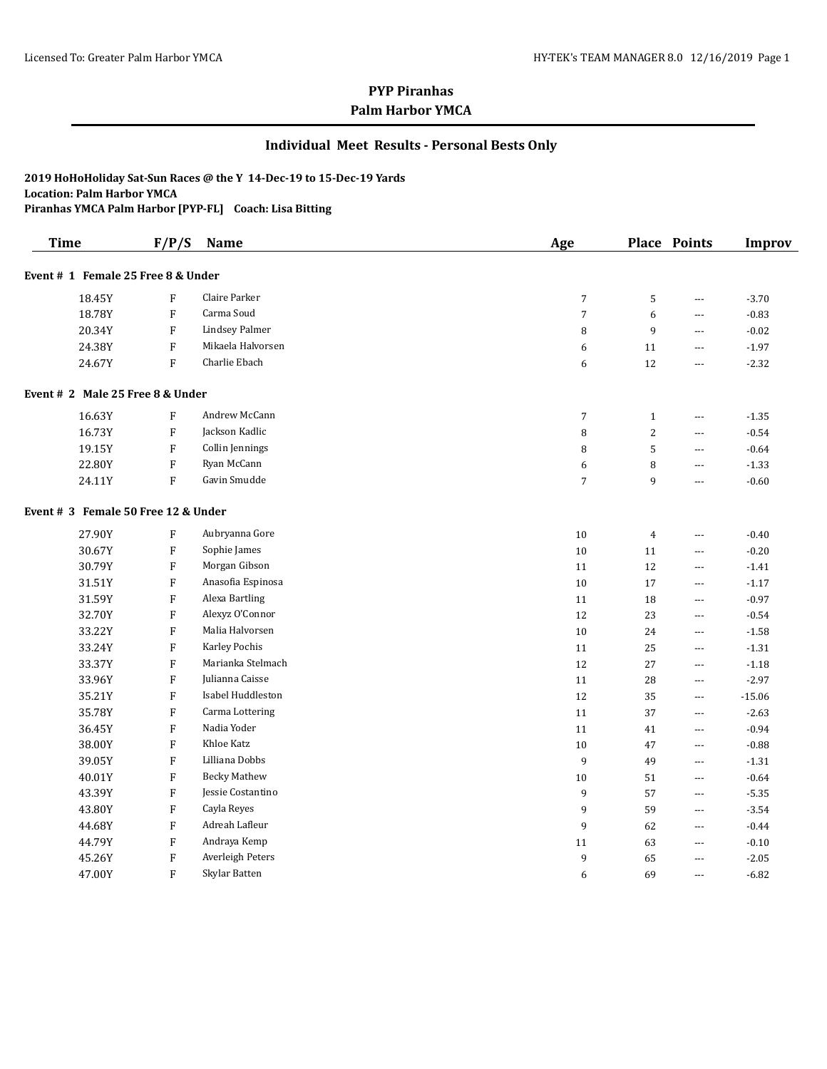### **Individual Meet Results - Personal Bests Only**

#### **2019 HoHoHoliday Sat-Sun Races @ the Y 14-Dec-19 to 15-Dec-19 Yards Location: Palm Harbor YMCA**

**Piranhas YMCA Palm Harbor [PYP-FL] Coach: Lisa Bitting**

| <b>Time</b>                         | F/P/S                     | Name                  | Age            |                | Place Points             | <b>Improv</b> |
|-------------------------------------|---------------------------|-----------------------|----------------|----------------|--------------------------|---------------|
| Event # 1 Female 25 Free 8 & Under  |                           |                       |                |                |                          |               |
| 18.45Y                              | ${\bf F}$                 | Claire Parker         | $\sqrt{7}$     | $\mathsf S$    | $- - -$                  | $-3.70$       |
| 18.78Y                              | ${\bf F}$                 | Carma Soud            | $\sqrt{ }$     | 6              | $- - -$                  | $-0.83$       |
| 20.34Y                              | ${\bf F}$                 | <b>Lindsey Palmer</b> | 8              | 9              | ---                      | $-0.02$       |
| 24.38Y                              | $\boldsymbol{\mathrm{F}}$ | Mikaela Halvorsen     | 6              | 11             | $\cdots$                 | $-1.97$       |
| 24.67Y                              | $\mathbf F$               | Charlie Ebach         | 6              | 12             | $\overline{a}$           | $-2.32$       |
| Event # 2 Male 25 Free 8 & Under    |                           |                       |                |                |                          |               |
| 16.63Y                              | F                         | Andrew McCann         | $\overline{7}$ | $\mathbf{1}$   | $\cdots$                 | $-1.35$       |
| 16.73Y                              | F                         | Jackson Kadlic        | 8              | $\overline{2}$ | $---$                    | $-0.54$       |
| 19.15Y                              | ${\bf F}$                 | Collin Jennings       | 8              | 5              | $\cdots$                 | $-0.64$       |
| 22.80Y                              | ${\bf F}$                 | Ryan McCann           | 6              | 8              | $- - -$                  | $-1.33$       |
| 24.11Y                              | ${\bf F}$                 | Gavin Smudde          | $\overline{7}$ | 9              | $---$                    | $-0.60$       |
| Event # 3 Female 50 Free 12 & Under |                           |                       |                |                |                          |               |
| 27.90Y                              | $\boldsymbol{\mathrm{F}}$ | Aubryanna Gore        | 10             | $\overline{4}$ | $\overline{\phantom{a}}$ | $-0.40$       |
| 30.67Y                              | $\boldsymbol{\mathrm{F}}$ | Sophie James          | 10             | 11             | ---                      | $-0.20$       |
| 30.79Y                              | $\boldsymbol{\mathrm{F}}$ | Morgan Gibson         | 11             | 12             | $\overline{a}$           | $-1.41$       |
| 31.51Y                              | $\boldsymbol{\mathrm{F}}$ | Anasofia Espinosa     | 10             | 17             | $---$                    | $-1.17$       |
| 31.59Y                              | $\boldsymbol{\mathrm{F}}$ | Alexa Bartling        | 11             | 18             | $\overline{a}$           | $-0.97$       |
| 32.70Y                              | $\boldsymbol{\mathrm{F}}$ | Alexyz O'Connor       | 12             | 23             | $\cdots$                 | $-0.54$       |
| 33.22Y                              | ${\bf F}$                 | Malia Halvorsen       | 10             | 24             | $\scriptstyle\cdots$     | $-1.58$       |
| 33.24Y                              | ${\bf F}$                 | Karley Pochis         | 11             | 25             | $\cdots$                 | $-1.31$       |
| 33.37Y                              | ${\bf F}$                 | Marianka Stelmach     | $12\,$         | $27\,$         | $\cdots$                 | $-1.18$       |
| 33.96Y                              | $\boldsymbol{\mathrm{F}}$ | Julianna Caisse       | 11             | 28             | $---$                    | $-2.97$       |
| 35.21Y                              | ${\bf F}$                 | Isabel Huddleston     | 12             | 35             | $---$                    | $-15.06$      |
| 35.78Y                              | ${\bf F}$                 | Carma Lottering       | 11             | 37             | $\overline{a}$           | $-2.63$       |
| 36.45Y                              | ${\bf F}$                 | Nadia Yoder           | 11             | 41             | $\overline{a}$           | $-0.94$       |
| 38.00Y                              | ${\bf F}$                 | Khloe Katz            | 10             | 47             | $\overline{\phantom{a}}$ | $-0.88$       |
| 39.05Y                              | ${\bf F}$                 | Lilliana Dobbs        | 9              | 49             | $\overline{\phantom{a}}$ | $-1.31$       |
| 40.01Y                              | ${\bf F}$                 | <b>Becky Mathew</b>   | $10\,$         | 51             | $\overline{\phantom{a}}$ | $-0.64$       |
| 43.39Y                              | ${\bf F}$                 | Jessie Costantino     | 9              | 57             | $\overline{\phantom{a}}$ | $-5.35$       |
| 43.80Y                              | ${\bf F}$                 | Cayla Reyes           | 9              | 59             | $\overline{\phantom{a}}$ | $-3.54$       |
| 44.68Y                              | ${\bf F}$                 | Adreah Lafleur        | 9              | 62             | $\overline{\phantom{a}}$ | $-0.44$       |
| 44.79Y                              | ${\bf F}$                 | Andraya Kemp          | 11             | 63             | $\overline{\phantom{a}}$ | $-0.10$       |
| 45.26Y                              | ${\bf F}$                 | Averleigh Peters      | 9              | 65             | $---$                    | $-2.05$       |
| 47.00Y                              | $\mathbf{F}$              | Skylar Batten         | 6              | 69             | $- - -$                  | $-6.82$       |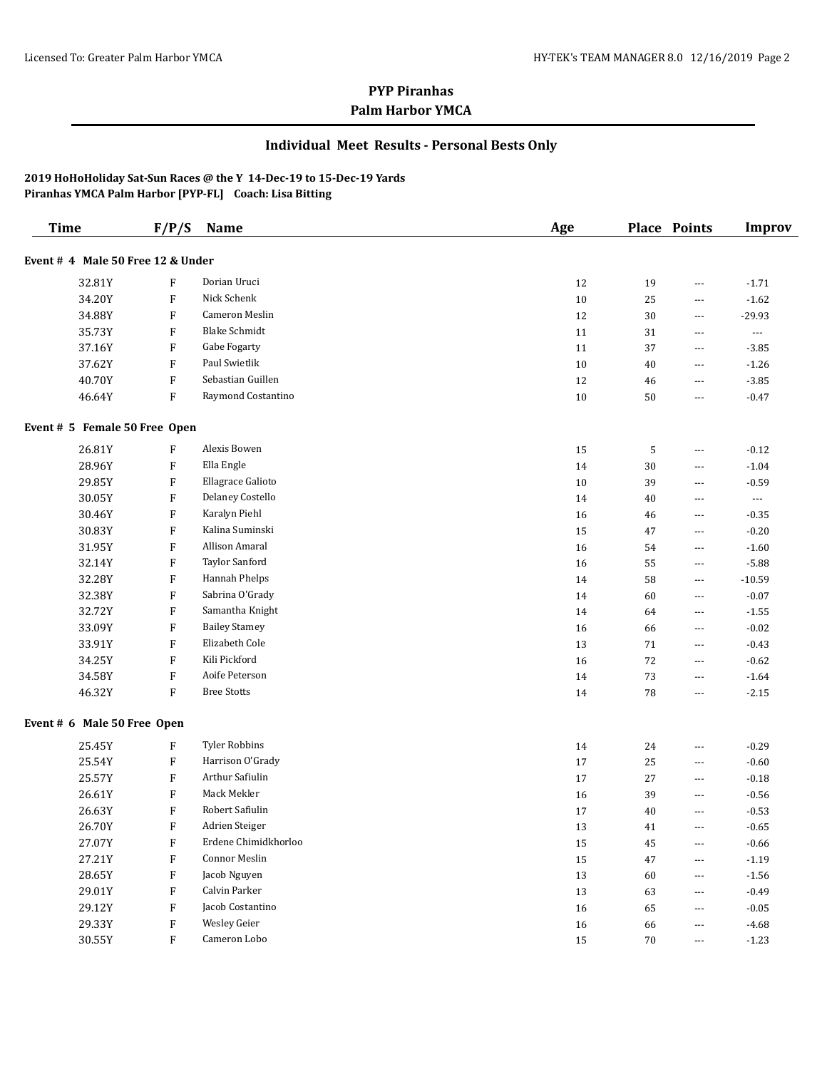### **Individual Meet Results - Personal Bests Only**

| <b>Time</b>                       | F/P/S                     | Name                  | Age    |    | Place Points             | <b>Improv</b>        |
|-----------------------------------|---------------------------|-----------------------|--------|----|--------------------------|----------------------|
| Event # 4 Male 50 Free 12 & Under |                           |                       |        |    |                          |                      |
| 32.81Y                            | F                         | Dorian Uruci          | 12     | 19 | ---                      | $-1.71$              |
| 34.20Y                            | $\boldsymbol{\mathrm{F}}$ | Nick Schenk           | 10     | 25 | ---                      | $-1.62$              |
| 34.88Y                            | F                         | <b>Cameron Meslin</b> | 12     | 30 | ---                      | $-29.93$             |
| 35.73Y                            | F                         | <b>Blake Schmidt</b>  | 11     | 31 | ---                      | $\ldots$             |
| 37.16Y                            | F                         | Gabe Fogarty          | 11     | 37 | ---                      | $-3.85$              |
| 37.62Y                            | F                         | Paul Swietlik         | 10     | 40 | ---                      | $-1.26$              |
| 40.70Y                            | $\boldsymbol{\mathrm{F}}$ | Sebastian Guillen     | 12     | 46 | ---                      | $-3.85$              |
| 46.64Y                            | $\boldsymbol{\mathrm{F}}$ | Raymond Costantino    | 10     | 50 | ---                      | $-0.47$              |
| Event # 5 Female 50 Free Open     |                           |                       |        |    |                          |                      |
| 26.81Y                            | F                         | Alexis Bowen          | 15     | 5  | ---                      | $-0.12$              |
| 28.96Y                            | F                         | Ella Engle            | $14\,$ | 30 | ---                      | $-1.04$              |
| 29.85Y                            | F                         | Ellagrace Galioto     | 10     | 39 | ---                      | $-0.59$              |
| 30.05Y                            | F                         | Delaney Costello      | 14     | 40 | ---                      | $\scriptstyle\cdots$ |
| 30.46Y                            | F                         | Karalyn Piehl         | 16     | 46 | ---                      | $-0.35$              |
| 30.83Y                            | F                         | Kalina Suminski       | 15     | 47 | ---                      | $-0.20$              |
| 31.95Y                            | F                         | Allison Amaral        | 16     | 54 | ---                      | $-1.60$              |
| 32.14Y                            | F                         | Taylor Sanford        | 16     | 55 | ---                      | $-5.88$              |
| 32.28Y                            | F                         | Hannah Phelps         | 14     | 58 | ---                      | $-10.59$             |
| 32.38Y                            | F                         | Sabrina O'Grady       | 14     | 60 | ---                      | $-0.07$              |
| 32.72Y                            | F                         | Samantha Knight       | 14     | 64 | ---                      | $-1.55$              |
| 33.09Y                            | F                         | <b>Bailey Stamey</b>  | 16     | 66 | ---                      | $-0.02$              |
| 33.91Y                            | F                         | Elizabeth Cole        | 13     | 71 | ---                      | $-0.43$              |
| 34.25Y                            | $\boldsymbol{\mathrm{F}}$ | Kili Pickford         | 16     | 72 | ---                      | $-0.62$              |
| 34.58Y                            | F                         | Aoife Peterson        | 14     | 73 | $\overline{\phantom{a}}$ | $-1.64$              |
| 46.32Y                            | F                         | <b>Bree Stotts</b>    | 14     | 78 | ---                      | $-2.15$              |
| Event # 6 Male 50 Free Open       |                           |                       |        |    |                          |                      |
| 25.45Y                            | F                         | <b>Tyler Robbins</b>  | 14     | 24 | ---                      | $-0.29$              |
| 25.54Y                            | $\boldsymbol{\mathrm{F}}$ | Harrison O'Grady      | 17     | 25 | $\overline{\phantom{a}}$ | $-0.60$              |
| 25.57Y                            | $\boldsymbol{\mathrm{F}}$ | Arthur Safiulin       | 17     | 27 | $\overline{\phantom{a}}$ | $-0.18$              |
| 26.61Y                            | $\boldsymbol{\mathrm{F}}$ | Mack Mekler           | 16     | 39 | ---                      | $-0.56$              |
| 26.63Y                            | $\boldsymbol{\mathrm{F}}$ | Robert Safiulin       | 17     | 40 | $\overline{\phantom{a}}$ | $-0.53$              |
| 26.70Y                            | F                         | Adrien Steiger        | $13\,$ | 41 |                          | $-0.65$              |
| 27.07Y                            | F                         | Erdene Chimidkhorloo  | 15     | 45 | $\scriptstyle\cdots$     | $-0.66$              |
| 27.21Y                            | $\boldsymbol{\mathrm{F}}$ | Connor Meslin         | $15\,$ | 47 | $\scriptstyle\cdots$     | $-1.19$              |
| 28.65Y                            | F                         | Jacob Nguyen          | 13     | 60 | ---                      | $-1.56$              |
| 29.01Y                            | $\boldsymbol{\mathrm{F}}$ | Calvin Parker         | 13     | 63 | ---                      | $-0.49$              |
| 29.12Y                            | F                         | Jacob Costantino      | 16     | 65 | ---                      | $-0.05$              |
| 29.33Y                            | $\boldsymbol{\mathrm{F}}$ | Wesley Geier          | 16     | 66 | ---                      | $-4.68$              |
| 30.55Y                            | $\, {\bf F}$              | Cameron Lobo          | 15     | 70 | $\scriptstyle\cdots$     | $-1.23$              |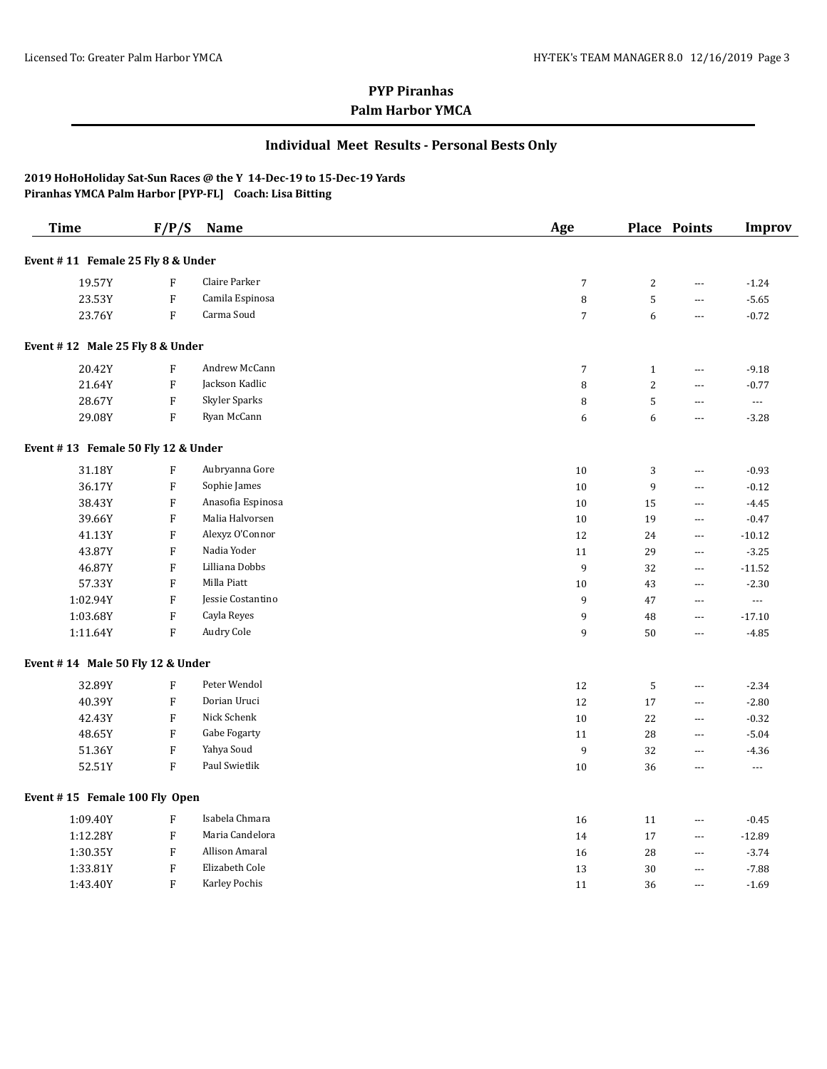### **Individual Meet Results - Personal Bests Only**

| <b>Time</b>                        | F/P/S                     | Name              | Age            |                | <b>Place Points</b> | <b>Improv</b>            |
|------------------------------------|---------------------------|-------------------|----------------|----------------|---------------------|--------------------------|
| Event #11 Female 25 Fly 8 & Under  |                           |                   |                |                |                     |                          |
| 19.57Y                             | $\rm F$                   | Claire Parker     | $\sqrt{7}$     | $\overline{2}$ | ---                 | $-1.24$                  |
| 23.53Y                             | $\rm F$                   | Camila Espinosa   | 8              | $\sqrt{5}$     | ---                 | $-5.65$                  |
| 23.76Y                             | $\rm F$                   | Carma Soud        | $\overline{7}$ | 6              | ---                 | $-0.72$                  |
| Event #12 Male 25 Fly 8 & Under    |                           |                   |                |                |                     |                          |
| 20.42Y                             | $\rm F$                   | Andrew McCann     | $\overline{7}$ | $\mathbf{1}$   | ---                 | $-9.18$                  |
| 21.64Y                             | $\boldsymbol{\mathrm{F}}$ | Jackson Kadlic    | 8              | 2              | ---                 | $-0.77$                  |
| 28.67Y                             | F                         | Skyler Sparks     | 8              | 5              | ---                 | ---                      |
| 29.08Y                             | $\boldsymbol{\mathrm{F}}$ | Ryan McCann       | 6              | 6              | ---                 | $-3.28$                  |
| Event #13 Female 50 Fly 12 & Under |                           |                   |                |                |                     |                          |
| 31.18Y                             | $\boldsymbol{\mathrm{F}}$ | Aubryanna Gore    | 10             | 3              | ---                 | $-0.93$                  |
| 36.17Y                             | ${\bf F}$                 | Sophie James      | 10             | 9              | ---                 | $-0.12$                  |
| 38.43Y                             | $\boldsymbol{\mathrm{F}}$ | Anasofia Espinosa | 10             | 15             | ---                 | $-4.45$                  |
| 39.66Y                             | $\rm F$                   | Malia Halvorsen   | 10             | 19             | ---                 | $-0.47$                  |
| 41.13Y                             | F                         | Alexyz O'Connor   | 12             | 24             | ---                 | $-10.12$                 |
| 43.87Y                             | $\rm F$                   | Nadia Yoder       | 11             | 29             | ---                 | $-3.25$                  |
| 46.87Y                             | $\boldsymbol{\mathrm{F}}$ | Lilliana Dobbs    | 9              | 32             | ---                 | $-11.52$                 |
| 57.33Y                             | $\rm F$                   | Milla Piatt       | 10             | 43             | ---                 | $-2.30$                  |
| 1:02.94Y                           | $\boldsymbol{\mathrm{F}}$ | Jessie Costantino | 9              | 47             | $\overline{a}$      | $\overline{a}$           |
| 1:03.68Y                           | ${\bf F}$                 | Cayla Reyes       | 9              | 48             | ---                 | $-17.10$                 |
| 1:11.64Y                           | $\rm F$                   | Audry Cole        | 9              | 50             | ---                 | $-4.85$                  |
| Event #14 Male 50 Fly 12 & Under   |                           |                   |                |                |                     |                          |
| 32.89Y                             | $\boldsymbol{\mathrm{F}}$ | Peter Wendol      | 12             | 5              | ---                 | $-2.34$                  |
| 40.39Y                             | $\rm F$                   | Dorian Uruci      | 12             | 17             | ---                 | $-2.80$                  |
| 42.43Y                             | $\boldsymbol{\mathrm{F}}$ | Nick Schenk       | 10             | 22             | $---$               | $-0.32$                  |
| 48.65Y                             | $\rm F$                   | Gabe Fogarty      | 11             | 28             | ---                 | $-5.04$                  |
| 51.36Y                             | ${\bf F}$                 | Yahya Soud        | 9              | 32             | $\overline{a}$      | $-4.36$                  |
| 52.51Y                             | $\mathbf{F}$              | Paul Swietlik     | 10             | 36             | ---                 | $\overline{\phantom{a}}$ |
| Event #15 Female 100 Fly Open      |                           |                   |                |                |                     |                          |
| 1:09.40Y                           | $\boldsymbol{\mathrm{F}}$ | Isabela Chmara    | 16             | 11             | ---                 | $-0.45$                  |
| 1:12.28Y                           | ${\bf F}$                 | Maria Candelora   | 14             | 17             |                     | $-12.89$                 |
| 1:30.35Y                           | F                         | Allison Amaral    | 16             | 28             | ---                 | $-3.74$                  |
| 1:33.81Y                           | $\boldsymbol{\mathrm{F}}$ | Elizabeth Cole    | 13             | 30             | $---$               | $-7.88$                  |
| 1:43.40Y                           | $\rm F$                   | Karley Pochis     | 11             | 36             | ---                 | $-1.69$                  |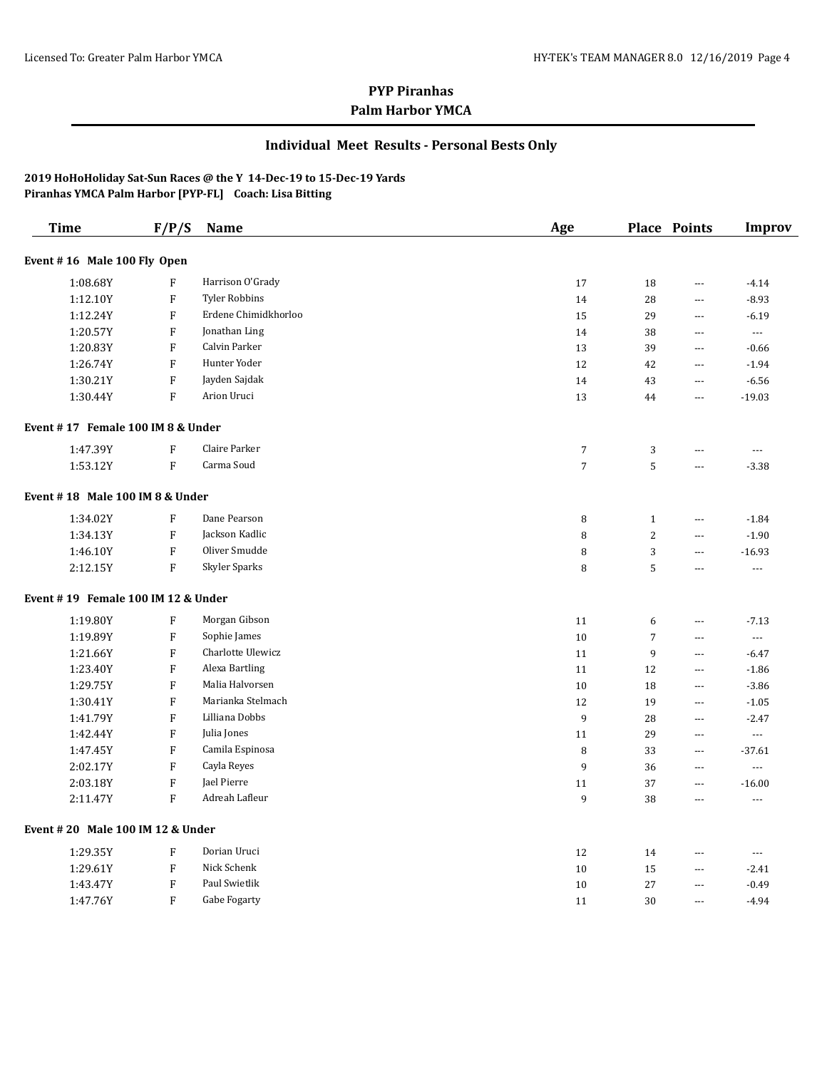### **Individual Meet Results - Personal Bests Only**

| <b>Time</b>                        | F/P/S                     | Name                 | Age              |                | <b>Place Points</b>      | <b>Improv</b>            |
|------------------------------------|---------------------------|----------------------|------------------|----------------|--------------------------|--------------------------|
| Event #16 Male 100 Fly Open        |                           |                      |                  |                |                          |                          |
| 1:08.68Y                           | $\mathbf{F}$              | Harrison O'Grady     | 17               | 18             | ---                      | $-4.14$                  |
| 1:12.10Y                           | $\mathbf{F}$              | <b>Tyler Robbins</b> | 14               | 28             | $---$                    | $-8.93$                  |
| 1:12.24Y                           | $\boldsymbol{\mathrm{F}}$ | Erdene Chimidkhorloo | 15               | 29             | $---$                    | $-6.19$                  |
| 1:20.57Y                           | $\boldsymbol{\mathrm{F}}$ | Jonathan Ling        | 14               | 38             | ---                      | $\overline{\phantom{a}}$ |
| 1:20.83Y                           | $\boldsymbol{\mathrm{F}}$ | Calvin Parker        | 13               | 39             | ---                      | $-0.66$                  |
| 1:26.74Y                           | $\boldsymbol{\mathrm{F}}$ | Hunter Yoder         | 12               | 42             | $\overline{\phantom{a}}$ | $-1.94$                  |
| 1:30.21Y                           | ${\bf F}$                 | Jayden Sajdak        | 14               | 43             | $\overline{\phantom{a}}$ | $-6.56$                  |
| 1:30.44Y                           | ${\bf F}$                 | Arion Uruci          | 13               | 44             | ---                      | $-19.03$                 |
| Event #17 Female 100 IM 8 & Under  |                           |                      |                  |                |                          |                          |
| 1:47.39Y                           | $\rm F$                   | Claire Parker        | $\sqrt{ }$       | 3              | ---                      | ---                      |
| 1:53.12Y                           | $\rm F$                   | Carma Soud           | $\overline{7}$   | 5              | ---                      | $-3.38$                  |
| Event #18 Male 100 IM 8 & Under    |                           |                      |                  |                |                          |                          |
| 1:34.02Y                           | $\rm F$                   | Dane Pearson         | 8                | $\mathbf{1}$   | $\overline{\phantom{a}}$ | $-1.84$                  |
| 1:34.13Y                           | ${\bf F}$                 | Jackson Kadlic       | 8                | $\overline{c}$ | $- - -$                  | $-1.90$                  |
| 1:46.10Y                           | $\rm F$                   | Oliver Smudde        | 8                | 3              | ---                      | $-16.93$                 |
| 2:12.15Y                           | $\mathbf{F}$              | Skyler Sparks        | 8                | 5              | $\overline{a}$           | $\overline{a}$           |
| Event #19 Female 100 IM 12 & Under |                           |                      |                  |                |                          |                          |
| 1:19.80Y                           | $\mathbf{F}$              | Morgan Gibson        | 11               | 6              | $\overline{\phantom{a}}$ | $-7.13$                  |
| 1:19.89Y                           | $\rm F$                   | Sophie James         | 10               | $\overline{7}$ | $\overline{a}$           | $\ldots$                 |
| 1:21.66Y                           | $\rm F$                   | Charlotte Ulewicz    | 11               | 9              | $\overline{\phantom{a}}$ | $-6.47$                  |
| 1:23.40Y                           | $\mathbf{F}$              | Alexa Bartling       | 11               | 12             | $---$                    | $-1.86$                  |
| 1:29.75Y                           | $\mathbf{F}$              | Malia Halvorsen      | 10               | 18             | $---$                    | $-3.86$                  |
| 1:30.41Y                           | $\mathbf{F}$              | Marianka Stelmach    | 12               | 19             | ---                      | $-1.05$                  |
| 1:41.79Y                           | $\rm F$                   | Lilliana Dobbs       | $\boldsymbol{9}$ | 28             | ---                      | $-2.47$                  |
| 1:42.44Y                           | $\rm F$                   | Julia Jones          | 11               | 29             | $\overline{\phantom{a}}$ | ---                      |
| 1:47.45Y                           | $\rm F$                   | Camila Espinosa      | 8                | 33             | $\overline{\phantom{a}}$ | $-37.61$                 |
| 2:02.17Y                           | ${\bf F}$                 | Cayla Reyes          | 9                | 36             | ---                      | $\overline{a}$           |
| 2:03.18Y                           | ${\bf F}$                 | Jael Pierre          | 11               | 37             | ---                      | $-16.00$                 |
| 2:11.47Y                           | $\mathbf{F}$              | Adreah Lafleur       | 9                | 38             | $---$                    | $\overline{a}$           |
| Event #20 Male 100 IM 12 & Under   |                           |                      |                  |                |                          |                          |
| 1:29.35Y                           | $\rm F$                   | Dorian Uruci         | 12               | 14             | ---                      | $\overline{\phantom{a}}$ |
| 1:29.61Y                           | $\rm F$                   | Nick Schenk          | 10               | 15             | $\overline{\phantom{a}}$ | $-2.41$                  |
| 1:43.47Y                           | ${\bf F}$                 | Paul Swietlik        | 10               | $27\,$         | $- - -$                  | $-0.49$                  |
| 1:47.76Y                           | $\rm F$                   | Gabe Fogarty         | 11               | 30             | $- - -$                  | $-4.94$                  |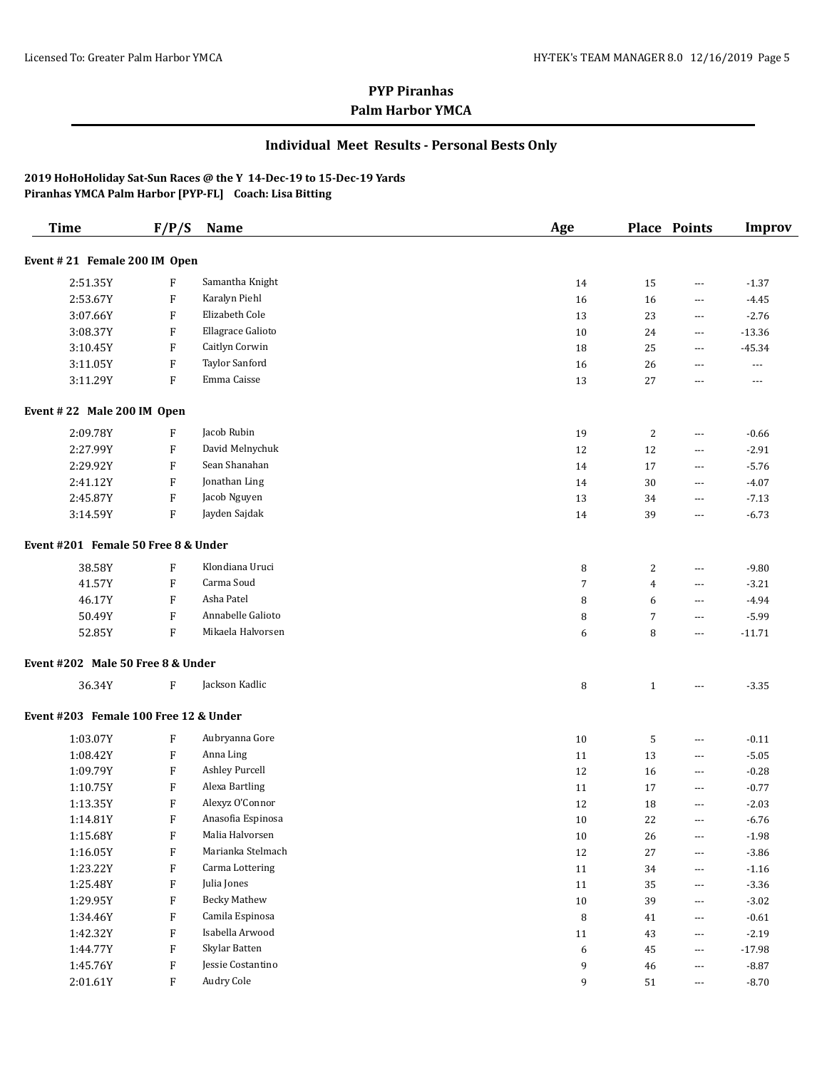### **Individual Meet Results - Personal Bests Only**

| <b>Time</b>                           | F/P/S                     | <b>Name</b>         | Age              |                | <b>Place Points</b>  | <b>Improv</b> |
|---------------------------------------|---------------------------|---------------------|------------------|----------------|----------------------|---------------|
| Event #21 Female 200 IM Open          |                           |                     |                  |                |                      |               |
| 2:51.35Y                              | F                         | Samantha Knight     | 14               | 15             | ---                  | $-1.37$       |
| 2:53.67Y                              | $\boldsymbol{\mathrm{F}}$ | Karalyn Piehl       | 16               | 16             | $---$                | $-4.45$       |
| 3:07.66Y                              | $\boldsymbol{\mathrm{F}}$ | Elizabeth Cole      | 13               | 23             | $---$                | $-2.76$       |
| 3:08.37Y                              | $\boldsymbol{\mathrm{F}}$ | Ellagrace Galioto   | 10               | 24             | $\cdots$             | $-13.36$      |
| 3:10.45Y                              | $\boldsymbol{\mathrm{F}}$ | Caitlyn Corwin      | 18               | 25             | ---                  | $-45.34$      |
| 3:11.05Y                              | $\boldsymbol{\mathrm{F}}$ | Taylor Sanford      | 16               | 26             | ---                  | $\cdots$      |
| 3:11.29Y                              | $\rm F$                   | Emma Caisse         | 13               | 27             | ---                  | $---$         |
| Event #22 Male 200 IM Open            |                           |                     |                  |                |                      |               |
| 2:09.78Y                              | F                         | Jacob Rubin         | 19               | 2              | ---                  | $-0.66$       |
| 2:27.99Y                              | $\boldsymbol{\mathrm{F}}$ | David Melnychuk     | 12               | 12             | $\scriptstyle\cdots$ | $-2.91$       |
| 2:29.92Y                              | $\boldsymbol{\mathrm{F}}$ | Sean Shanahan       | 14               | 17             | $\scriptstyle\cdots$ | $-5.76$       |
| 2:41.12Y                              | $\boldsymbol{\mathrm{F}}$ | Jonathan Ling       | 14               | 30             | $\cdots$             | $-4.07$       |
| 2:45.87Y                              | $\boldsymbol{\mathrm{F}}$ | Jacob Nguyen        | 13               | 34             | $\scriptstyle\cdots$ | $-7.13$       |
| 3:14.59Y                              | ${\bf F}$                 | Jayden Sajdak       | 14               | 39             | $\scriptstyle\cdots$ | $-6.73$       |
| Event #201 Female 50 Free 8 & Under   |                           |                     |                  |                |                      |               |
| 38.58Y                                | $\boldsymbol{\mathrm{F}}$ | Klondiana Uruci     | 8                | $\overline{c}$ | ---                  | $-9.80$       |
| 41.57Y                                | $\boldsymbol{\mathrm{F}}$ | Carma Soud          | $\overline{7}$   | $\overline{4}$ | ---                  | $-3.21$       |
| 46.17Y                                | $\boldsymbol{\mathrm{F}}$ | Asha Patel          | 8                | 6              | ---                  | $-4.94$       |
| 50.49Y                                | $\rm F$                   | Annabelle Galioto   | 8                | $\overline{7}$ | ---                  | $-5.99$       |
| 52.85Y                                | $\rm F$                   | Mikaela Halvorsen   | 6                | 8              | ---                  | $-11.71$      |
| Event #202 Male 50 Free 8 & Under     |                           |                     |                  |                |                      |               |
| 36.34Y                                | $\boldsymbol{\mathrm{F}}$ | Jackson Kadlic      | 8                | $\mathbf{1}$   | ---                  | $-3.35$       |
| Event #203 Female 100 Free 12 & Under |                           |                     |                  |                |                      |               |
| 1:03.07Y                              | $\boldsymbol{\mathrm{F}}$ | Aubryanna Gore      | 10               | 5              | ---                  | $-0.11$       |
| 1:08.42Y                              | $\boldsymbol{\mathrm{F}}$ | Anna Ling           | 11               | 13             | ---                  | $-5.05$       |
| 1:09.79Y                              | $\boldsymbol{\mathrm{F}}$ | Ashley Purcell      | 12               | 16             | ---                  | $-0.28$       |
| 1:10.75Y                              | $\boldsymbol{\mathrm{F}}$ | Alexa Bartling      | 11               | 17             | $\scriptstyle\cdots$ | $-0.77$       |
| 1:13.35Y                              | $\boldsymbol{\mathrm{F}}$ | Alexyz O'Connor     | $12\,$           | 18             | $\scriptstyle\cdots$ | $-2.03$       |
| 1:14.81Y                              | F                         | Anasofia Espinosa   | 10               | 22             | $\cdots$             | $-6.76$       |
| 1:15.68Y                              | $\boldsymbol{\mathrm{F}}$ | Malia Halvorsen     | $10\,$           | 26             | ---                  | $-1.98$       |
| 1:16.05Y                              | $\boldsymbol{\mathrm{F}}$ | Marianka Stelmach   | 12               | $27\,$         | ---                  | $-3.86$       |
| 1:23.22Y                              | $\boldsymbol{\mathrm{F}}$ | Carma Lottering     | 11               | 34             | ---                  | $-1.16$       |
| 1:25.48Y                              | $\boldsymbol{\mathrm{F}}$ | Julia Jones         | 11               | 35             | ---                  | $-3.36$       |
| 1:29.95Y                              | $\boldsymbol{\mathrm{F}}$ | <b>Becky Mathew</b> | $10\,$           | 39             | $\scriptstyle\cdots$ | $-3.02$       |
| 1:34.46Y                              | $\boldsymbol{\mathrm{F}}$ | Camila Espinosa     | 8                | 41             | ---                  | $-0.61$       |
| 1:42.32Y                              | $\boldsymbol{\mathrm{F}}$ | Isabella Arwood     | $11\,$           | 43             | $\scriptstyle\cdots$ | $-2.19$       |
| 1:44.77Y                              | $\boldsymbol{\mathrm{F}}$ | Skylar Batten       | $\boldsymbol{6}$ | 45             | ---                  | $-17.98$      |
| 1:45.76Y                              | $\boldsymbol{\mathrm{F}}$ | Jessie Costantino   | 9                | $\sqrt{46}$    | ---                  | $-8.87$       |
| 2:01.61Y                              | $\rm F$                   | Audry Cole          | 9                | 51             | ---                  | $-8.70$       |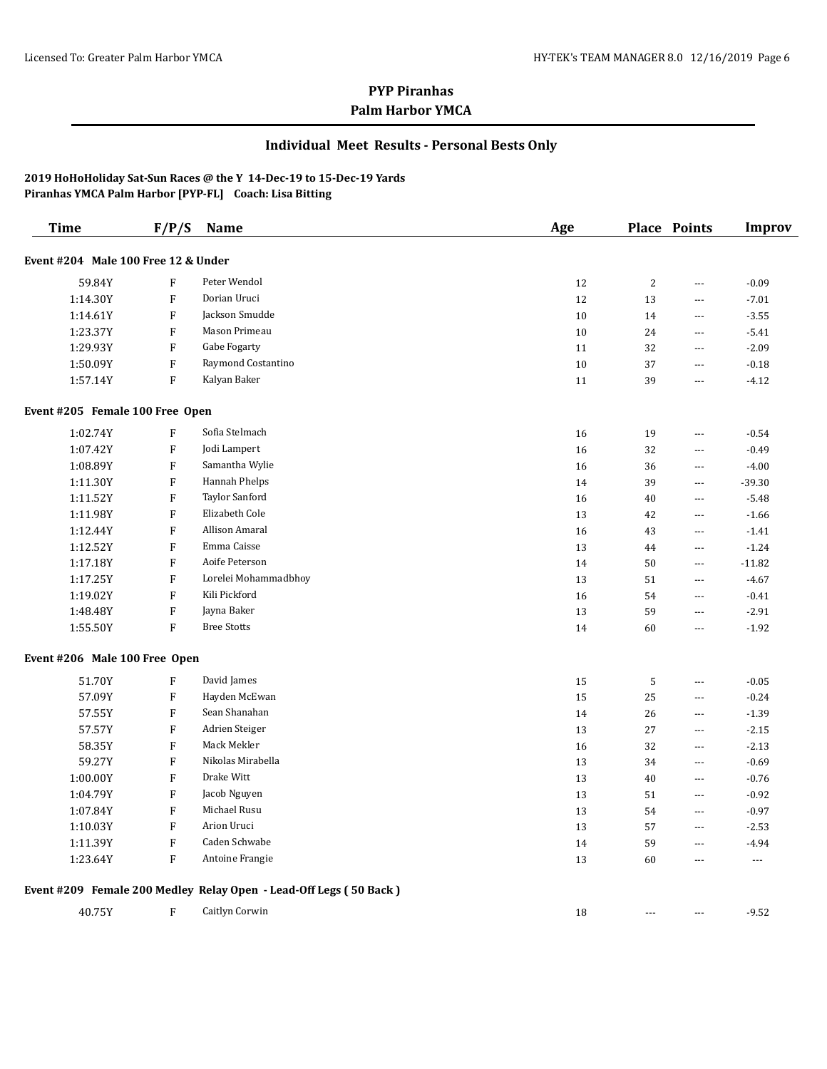### **Individual Meet Results - Personal Bests Only**

| <b>Time</b>                         | F/P/S                     | <b>Name</b>                                                       | Age |                | Place Points             | <b>Improv</b>            |
|-------------------------------------|---------------------------|-------------------------------------------------------------------|-----|----------------|--------------------------|--------------------------|
| Event #204 Male 100 Free 12 & Under |                           |                                                                   |     |                |                          |                          |
| 59.84Y                              | F                         | Peter Wendol                                                      | 12  | $\overline{2}$ | ---                      | $-0.09$                  |
| 1:14.30Y                            | ${\bf F}$                 | Dorian Uruci                                                      | 12  | 13             | ---                      | $-7.01$                  |
| 1:14.61Y                            | F                         | Jackson Smudde                                                    | 10  | 14             | ---                      | $-3.55$                  |
| 1:23.37Y                            | ${\bf F}$                 | Mason Primeau                                                     | 10  | 24             | ---                      | $-5.41$                  |
| 1:29.93Y                            | F                         | Gabe Fogarty                                                      | 11  | 32             | ---                      | $-2.09$                  |
| 1:50.09Y                            | F                         | Raymond Costantino                                                | 10  | 37             | $\overline{a}$           | $-0.18$                  |
| 1:57.14Y                            | F                         | Kalyan Baker                                                      | 11  | 39             | $\overline{a}$           | $-4.12$                  |
| Event #205 Female 100 Free Open     |                           |                                                                   |     |                |                          |                          |
| 1:02.74Y                            | $\boldsymbol{\mathrm{F}}$ | Sofia Stelmach                                                    | 16  | 19             | ---                      | $-0.54$                  |
| 1:07.42Y                            | F                         | Jodi Lampert                                                      | 16  | 32             | ---                      | $-0.49$                  |
| 1:08.89Y                            | F                         | Samantha Wylie                                                    | 16  | 36             | ---                      | $-4.00$                  |
| 1:11.30Y                            | ${\bf F}$                 | Hannah Phelps                                                     | 14  | 39             | ---                      | $-39.30$                 |
| 1:11.52Y                            | F                         | Taylor Sanford                                                    | 16  | 40             | ---                      | $-5.48$                  |
| 1:11.98Y                            | F                         | Elizabeth Cole                                                    | 13  | 42             | ---                      | $-1.66$                  |
| 1:12.44Y                            | F                         | Allison Amaral                                                    | 16  | 43             | ---                      | $-1.41$                  |
| 1:12.52Y                            | ${\bf F}$                 | Emma Caisse                                                       | 13  | 44             | ---                      | $-1.24$                  |
| 1:17.18Y                            | ${\bf F}$                 | Aoife Peterson                                                    | 14  | 50             | ---                      | $-11.82$                 |
| 1:17.25Y                            | ${\bf F}$                 | Lorelei Mohammadbhoy                                              | 13  | 51             | $\overline{a}$           | $-4.67$                  |
| 1:19.02Y                            | ${\bf F}$                 | Kili Pickford                                                     | 16  | 54             | ---                      | $-0.41$                  |
| 1:48.48Y                            | ${\bf F}$                 | Jayna Baker                                                       | 13  | 59             | $\overline{a}$           | $-2.91$                  |
| 1:55.50Y                            | ${\bf F}$                 | <b>Bree Stotts</b>                                                | 14  | 60             | ---                      | $-1.92$                  |
| Event #206 Male 100 Free Open       |                           |                                                                   |     |                |                          |                          |
| 51.70Y                              | F                         | David James                                                       | 15  | 5              | ---                      | $-0.05$                  |
| 57.09Y                              | ${\bf F}$                 | Hayden McEwan                                                     | 15  | 25             | ---                      | $-0.24$                  |
| 57.55Y                              | ${\bf F}$                 | Sean Shanahan                                                     | 14  | 26             | ---                      | $-1.39$                  |
| 57.57Y                              | ${\bf F}$                 | Adrien Steiger                                                    | 13  | 27             | $\overline{\phantom{a}}$ | $-2.15$                  |
| 58.35Y                              | F                         | Mack Mekler                                                       | 16  | 32             | ---                      | $-2.13$                  |
| 59.27Y                              | F                         | Nikolas Mirabella                                                 | 13  | 34             | $\overline{a}$           | $-0.69$                  |
| 1:00.00Y                            | ${\bf F}$                 | Drake Witt                                                        | 13  | 40             | $\overline{a}$           | $-0.76$                  |
| 1:04.79Y                            | ${\bf F}$                 | Jacob Nguyen                                                      | 13  | 51             | $\overline{a}$           | $-0.92$                  |
| 1:07.84Y                            | F                         | Michael Rusu                                                      | 13  | 54             | $\overline{a}$           | $-0.97$                  |
| 1:10.03Y                            | ${\bf F}$                 | Arion Uruci                                                       | 13  | 57             | ---                      | $-2.53$                  |
| 1:11.39Y                            | ${\bf F}$                 | Caden Schwabe                                                     | 14  | 59             | ---                      | $-4.94$                  |
| 1:23.64Y                            | F                         | Antoine Frangie                                                   | 13  | 60             | ---                      | $\overline{\phantom{a}}$ |
|                                     |                           | Event #209 Female 200 Medley Relay Open - Lead-Off Legs (50 Back) |     |                |                          |                          |
| 40.75Y                              | F                         | Caitlyn Corwin                                                    | 18  | $-$            | ---                      | $-9.52$                  |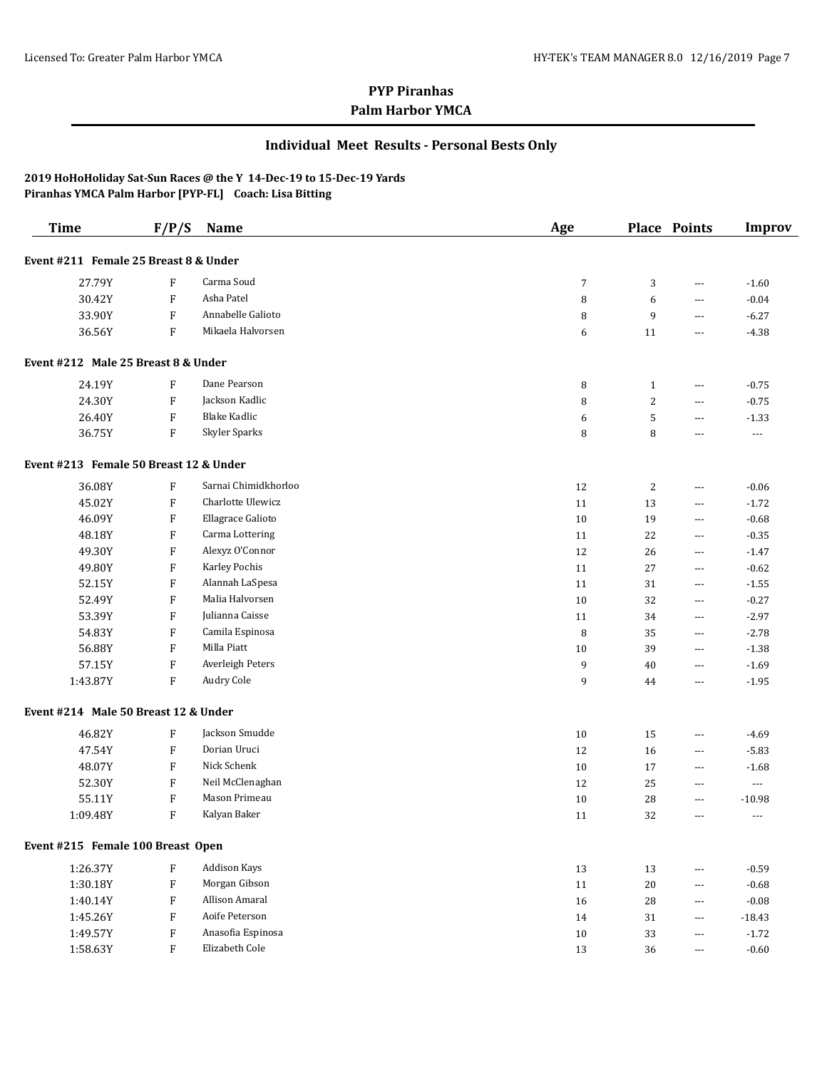### **Individual Meet Results - Personal Bests Only**

| <b>Time</b>                            | F/P/S                     | Name                 | Age            |                | <b>Place Points</b>   | <b>Improv</b>            |
|----------------------------------------|---------------------------|----------------------|----------------|----------------|-----------------------|--------------------------|
| Event #211 Female 25 Breast 8 & Under  |                           |                      |                |                |                       |                          |
| 27.79Y                                 | F                         | Carma Soud           | $\overline{7}$ | 3              | ---                   | $-1.60$                  |
| 30.42Y                                 | F                         | Asha Patel           | 8              | 6              | ---                   | $-0.04$                  |
| 33.90Y                                 | F                         | Annabelle Galioto    | 8              | 9              | ---                   | $-6.27$                  |
| 36.56Y                                 | ${\bf F}$                 | Mikaela Halvorsen    | 6              | 11             | ---                   | $-4.38$                  |
| Event #212 Male 25 Breast 8 & Under    |                           |                      |                |                |                       |                          |
| 24.19Y                                 | $\boldsymbol{\mathrm{F}}$ | Dane Pearson         | 8              | $\mathbf{1}$   | $---$                 | $-0.75$                  |
| 24.30Y                                 | $\boldsymbol{\mathrm{F}}$ | Jackson Kadlic       | 8              | $\overline{c}$ | ---                   | $-0.75$                  |
| 26.40Y                                 | F                         | <b>Blake Kadlic</b>  | 6              | 5              | $---$                 | $-1.33$                  |
| 36.75Y                                 | F                         | Skyler Sparks        | 8              | 8              | ---                   | $---$                    |
| Event #213 Female 50 Breast 12 & Under |                           |                      |                |                |                       |                          |
| 36.08Y                                 | $\boldsymbol{\mathrm{F}}$ | Sarnai Chimidkhorloo | 12             | $\overline{c}$ | $\cdots$              | $-0.06$                  |
| 45.02Y                                 | F                         | Charlotte Ulewicz    | 11             | 13             | $\cdots$              | $-1.72$                  |
| 46.09Y                                 | F                         | Ellagrace Galioto    | 10             | 19             | $\cdots$              | $-0.68$                  |
| 48.18Y                                 | F                         | Carma Lottering      | 11             | 22             | $\cdots$              | $-0.35$                  |
| 49.30Y                                 | F                         | Alexyz O'Connor      | 12             | 26             | $\cdots$              | $-1.47$                  |
| 49.80Y                                 | F                         | Karley Pochis        | 11             | 27             | $\cdots$              | $-0.62$                  |
| 52.15Y                                 | F                         | Alannah LaSpesa      | 11             | 31             | $\cdots$              | $-1.55$                  |
| 52.49Y                                 | F                         | Malia Halvorsen      | 10             | 32             | $\cdots$              | $-0.27$                  |
| 53.39Y                                 | F                         | Julianna Caisse      | 11             | 34             | $\cdots$              | $-2.97$                  |
| 54.83Y                                 | ${\bf F}$                 | Camila Espinosa      | 8              | 35             | $\cdots$              | $-2.78$                  |
| 56.88Y                                 | ${\bf F}$                 | Milla Piatt          | 10             | 39             | $\cdots$              | $-1.38$                  |
| 57.15Y                                 | $\boldsymbol{\mathrm{F}}$ | Averleigh Peters     | 9              | 40             | ---                   | $-1.69$                  |
| 1:43.87Y                               | F                         | Audry Cole           | 9              | 44             | $\cdots$              | $-1.95$                  |
| Event #214 Male 50 Breast 12 & Under   |                           |                      |                |                |                       |                          |
| 46.82Y                                 | $\boldsymbol{\mathrm{F}}$ | Jackson Smudde       | 10             | 15             | ---                   | $-4.69$                  |
| 47.54Y                                 | F                         | Dorian Uruci         | 12             | 16             | ---                   | $-5.83$                  |
| 48.07Y                                 | F                         | Nick Schenk          | 10             | 17             | ---                   | $-1.68$                  |
| 52.30Y                                 | $\boldsymbol{\mathrm{F}}$ | Neil McClenaghan     | 12             | 25             | ---                   | ---                      |
| 55.11Y                                 | $\boldsymbol{\mathrm{F}}$ | Mason Primeau        | 10             | 28             | ---                   | $-10.98$                 |
| 1:09.48Y                               | $\boldsymbol{\mathrm{F}}$ | Kalyan Baker         | 11             | 32             | ---                   | $\overline{\phantom{a}}$ |
| Event #215 Female 100 Breast Open      |                           |                      |                |                |                       |                          |
| 1:26.37Y                               | $\boldsymbol{\mathrm{F}}$ | <b>Addison Kays</b>  | $13\,$         | 13             | $---$                 | $-0.59$                  |
| 1:30.18Y                               | ${\bf F}$                 | Morgan Gibson        | 11             | 20             | $\scriptstyle \cdots$ | $-0.68$                  |
| 1:40.14Y                               | ${\bf F}$                 | Allison Amaral       | 16             | 28             | $\cdots$              | $-0.08$                  |
| 1:45.26Y                               | F                         | Aoife Peterson       | 14             | 31             | $\cdots$              | $-18.43$                 |
| 1:49.57Y                               | ${\bf F}$                 | Anasofia Espinosa    | $10\,$         | 33             | $\cdots$              | $-1.72$                  |
| 1:58.63Y                               | $\mathbf F$               | Elizabeth Cole       | $13\,$         | 36             | $\cdots$              | $-0.60$                  |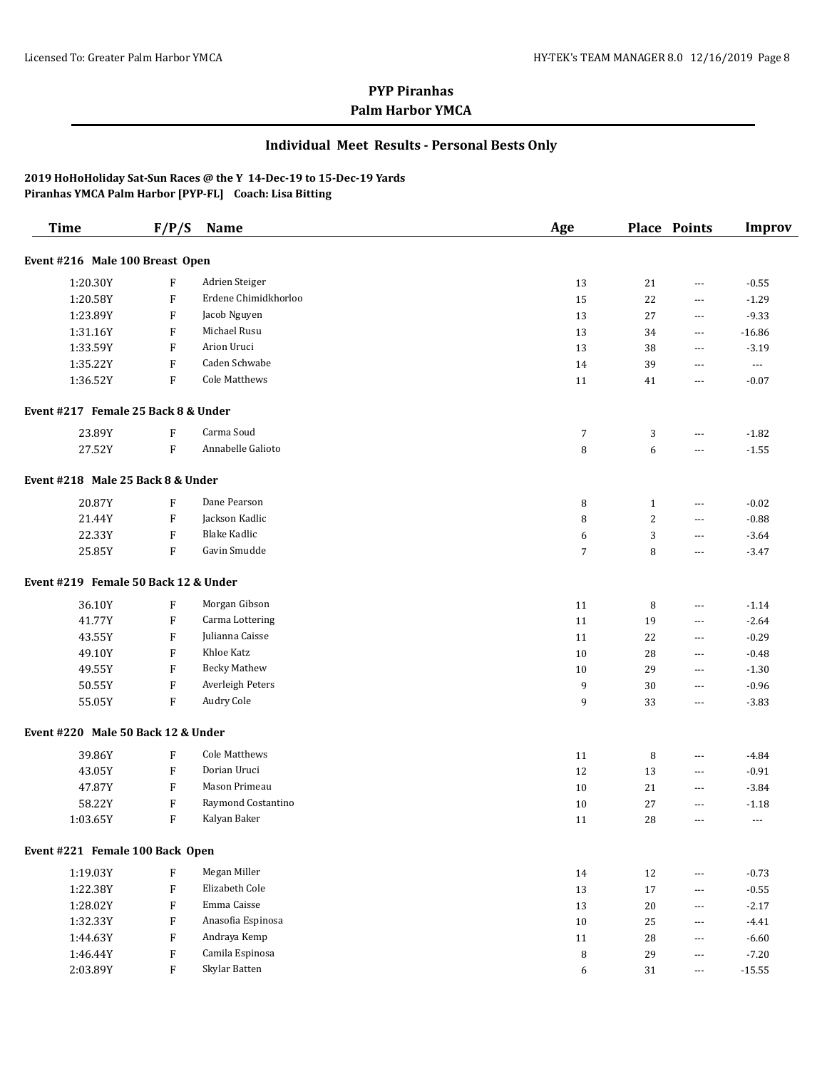### **Individual Meet Results - Personal Bests Only**

| <b>Time</b>                          | F/P/S                     | Name                 | Age |              | <b>Place Points</b>  | <b>Improv</b>            |
|--------------------------------------|---------------------------|----------------------|-----|--------------|----------------------|--------------------------|
| Event #216 Male 100 Breast Open      |                           |                      |     |              |                      |                          |
| 1:20.30Y                             | $\rm F$                   | Adrien Steiger       | 13  | 21           | $\cdots$             | $-0.55$                  |
| 1:20.58Y                             | $\boldsymbol{\mathrm{F}}$ | Erdene Chimidkhorloo | 15  | 22           | $\cdots$             | $-1.29$                  |
| 1:23.89Y                             | $\boldsymbol{\mathrm{F}}$ | Jacob Nguyen         | 13  | 27           | $\scriptstyle\cdots$ | $-9.33$                  |
| 1:31.16Y                             | $\boldsymbol{\mathrm{F}}$ | Michael Rusu         | 13  | 34           | $\scriptstyle\cdots$ | $-16.86$                 |
| 1:33.59Y                             | $\boldsymbol{\mathrm{F}}$ | Arion Uruci          | 13  | 38           | $\scriptstyle\cdots$ | $-3.19$                  |
| 1:35.22Y                             | $\boldsymbol{\mathrm{F}}$ | Caden Schwabe        | 14  | 39           | $\scriptstyle\cdots$ | $\overline{\phantom{a}}$ |
| 1:36.52Y                             | F                         | <b>Cole Matthews</b> | 11  | 41           | $\scriptstyle\cdots$ | $-0.07$                  |
| Event #217 Female 25 Back 8 & Under  |                           |                      |     |              |                      |                          |
| 23.89Y                               | F                         | Carma Soud           | 7   | 3            | $\cdots$             | $-1.82$                  |
| 27.52Y                               | F                         | Annabelle Galioto    | 8   | 6            | $\cdots$             | $-1.55$                  |
| Event #218 Male 25 Back 8 & Under    |                           |                      |     |              |                      |                          |
| 20.87Y                               | $\boldsymbol{\mathrm{F}}$ | Dane Pearson         | 8   | $\mathbf{1}$ | $\cdots$             | $-0.02$                  |
| 21.44Y                               | F                         | Jackson Kadlic       | 8   | 2            | ---                  | $-0.88$                  |
| 22.33Y                               | F                         | <b>Blake Kadlic</b>  | 6   | 3            | $\cdots$             | $-3.64$                  |
| 25.85Y                               | F                         | Gavin Smudde         | 7   | 8            | ---                  | $-3.47$                  |
| Event #219 Female 50 Back 12 & Under |                           |                      |     |              |                      |                          |
| 36.10Y                               | F                         | Morgan Gibson        | 11  | 8            | $\cdots$             | $-1.14$                  |
| 41.77Y                               | F                         | Carma Lottering      | 11  | 19           | $\scriptstyle\cdots$ | $-2.64$                  |
| 43.55Y                               | F                         | Julianna Caisse      | 11  | 22           | $\cdots$             | $-0.29$                  |
| 49.10Y                               | F                         | Khloe Katz           | 10  | 28           | $\cdots$             | $-0.48$                  |
| 49.55Y                               | F                         | <b>Becky Mathew</b>  | 10  | 29           | $\cdots$             | $-1.30$                  |
| 50.55Y                               | $\boldsymbol{\mathrm{F}}$ | Averleigh Peters     | 9   | 30           | $\scriptstyle\cdots$ | $-0.96$                  |
| 55.05Y                               | F                         | Audry Cole           | 9   | 33           | $\scriptstyle\cdots$ | $-3.83$                  |
| Event #220 Male 50 Back 12 & Under   |                           |                      |     |              |                      |                          |
| 39.86Y                               | $\boldsymbol{\mathrm{F}}$ | <b>Cole Matthews</b> | 11  | 8            | $\scriptstyle\cdots$ | $-4.84$                  |
| 43.05Y                               | $\boldsymbol{\mathrm{F}}$ | Dorian Uruci         | 12  | 13           | $\cdots$             | $-0.91$                  |
| 47.87Y                               | $\boldsymbol{\mathrm{F}}$ | Mason Primeau        | 10  | 21           | $\cdots$             | $-3.84$                  |
| 58.22Y                               | $\boldsymbol{\mathrm{F}}$ | Raymond Costantino   | 10  | 27           | $\cdots$             | $-1.18$                  |
| 1:03.65Y                             | F                         | Kalyan Baker         | 11  | 28           | $\cdots$             | $\cdots$                 |
| Event #221 Female 100 Back Open      |                           |                      |     |              |                      |                          |
| 1:19.03Y                             | $\mathbf{F}$              | Megan Miller         | 14  | 12           | $\cdots$             | $-0.73$                  |
| 1:22.38Y                             | ${\rm F}$                 | Elizabeth Cole       | 13  | 17           | $\cdots$             | $-0.55$                  |
| 1:28.02Y                             | F                         | Emma Caisse          | 13  | 20           | $\cdots$             | $-2.17$                  |
| 1:32.33Y                             | F                         | Anasofia Espinosa    | 10  | 25           | $\cdots$             | $-4.41$                  |
| 1:44.63Y                             | $\mathbf{F}$              | Andraya Kemp         | 11  | 28           | $\cdots$             | $-6.60$                  |
| 1:46.44Y                             | ${\bf F}$                 | Camila Espinosa      | 8   | 29           | $\cdots$             | $-7.20$                  |
| 2:03.89Y                             | $\boldsymbol{\mathrm{F}}$ | Skylar Batten        | 6   | 31           | $\scriptstyle\cdots$ | $-15.55$                 |